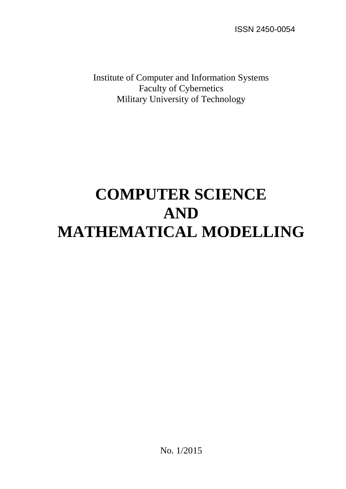ISSN 2450-0054

Institute of Computer and Information Systems Faculty of Cybernetics Military University of Technology

# **COMPUTER SCIENCE AND MATHEMATICAL MODELLING**

No. 1/2015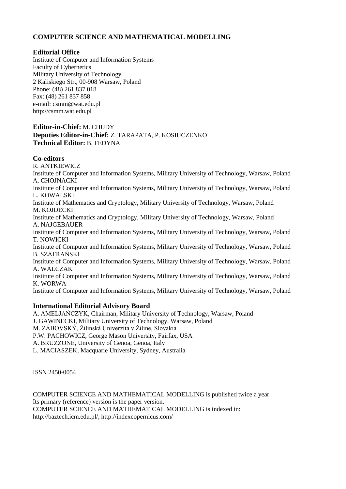### **COMPUTER SCIENCE AND MATHEMATICAL MODELLING**

#### **Editorial Office**

Institute of Computer and Information Systems Faculty of Cybernetics Military University of Technology 2 Kaliskiego Str., 00-908 Warsaw, Poland Phone: (48) 261 837 018 Fax: (48) 261 837 858 e-mail: csmm@wat.edu.pl http://csmm.wat.edu.pl

#### **Editor-in-Chief:** M. CHUDY **Deputies Editor-in-Chief:** Z. TARAPATA, P. KOSIUCZENKO **Technical Editor:** B. FEDYNA

#### **Co-editors**

R. ANTKIEWICZ Institute of Computer and Information Systems, Military University of Technology, Warsaw, Poland A. CHOJNACKI Institute of Computer and Information Systems, Military University of Technology, Warsaw, Poland L. KOWALSKI Institute of Mathematics and Cryptology, Military University of Technology, Warsaw, Poland M. KOJDECKI Institute of Mathematics and Cryptology, Military University of Technology, Warsaw, Poland A. NAJGEBAUER Institute of Computer and Information Systems, Military University of Technology, Warsaw, Poland T. NOWICKI Institute of Computer and Information Systems, Military University of Technology, Warsaw, Poland B. SZAFRAŃSKI Institute of Computer and Information Systems, Military University of Technology, Warsaw, Poland A. WALCZAK Institute of Computer and Information Systems, Military University of Technology, Warsaw, Poland K. WORWA Institute of Computer and Information Systems, Military University of Technology, Warsaw, Poland

#### **International Editorial Advisory Board**

A. AMELJAŃCZYK, Chairman, Military University of Technology, Warsaw, Poland J. GAWINECKI, Military University of Technology, Warsaw, Poland M. ZÁBOVSKÝ, Žilinská Univerzita v Žiline, Slovakia P.W. PACHOWICZ, George Mason University, Fairfax, USA A. BRUZZONE, University of Genoa, Genoa, Italy L. MACIASZEK, Macquarie University, Sydney, Australia

ISSN 2450-0054

COMPUTER SCIENCE AND MATHEMATICAL MODELLING is published twice a year. Its primary (reference) version is the paper version. COMPUTER SCIENCE AND MATHEMATICAL MODELLING is indexed in: http://baztech.icm.edu.pl/, http://indexcopernicus.com/